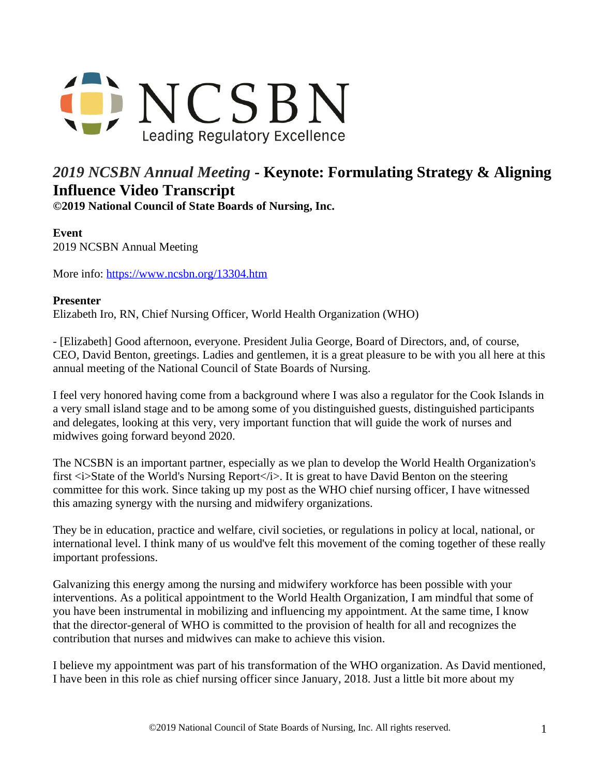

## *2019 NCSBN Annual Meeting* **- Keynote: Formulating Strategy & Aligning Influence Video Transcript**

**©2019 National Council of State Boards of Nursing, Inc.** 

## **Event**

2019 NCSBN Annual Meeting

More info: <https://www.ncsbn.org/13304.htm>

## **Presenter**

Elizabeth Iro, RN, Chief Nursing Officer, World Health Organization (WHO)

- [Elizabeth] Good afternoon, everyone. President Julia George, Board of Directors, and, of course, CEO, David Benton, greetings. Ladies and gentlemen, it is a great pleasure to be with you all here at this annual meeting of the National Council of State Boards of Nursing.

I feel very honored having come from a background where I was also a regulator for the Cook Islands in a very small island stage and to be among some of you distinguished guests, distinguished participants and delegates, looking at this very, very important function that will guide the work of nurses and midwives going forward beyond 2020.

The NCSBN is an important partner, especially as we plan to develop the World Health Organization's first  $\langle i \rangle$ State of the World's Nursing Report $\langle i \rangle$ . It is great to have David Benton on the steering committee for this work. Since taking up my post as the WHO chief nursing officer, I have witnessed this amazing synergy with the nursing and midwifery organizations.

They be in education, practice and welfare, civil societies, or regulations in policy at local, national, or international level. I think many of us would've felt this movement of the coming together of these really important professions.

Galvanizing this energy among the nursing and midwifery workforce has been possible with your interventions. As a political appointment to the World Health Organization, I am mindful that some of you have been instrumental in mobilizing and influencing my appointment. At the same time, I know that the director-general of WHO is committed to the provision of health for all and recognizes the contribution that nurses and midwives can make to achieve this vision.

I believe my appointment was part of his transformation of the WHO organization. As David mentioned, I have been in this role as chief nursing officer since January, 2018. Just a little bit more about my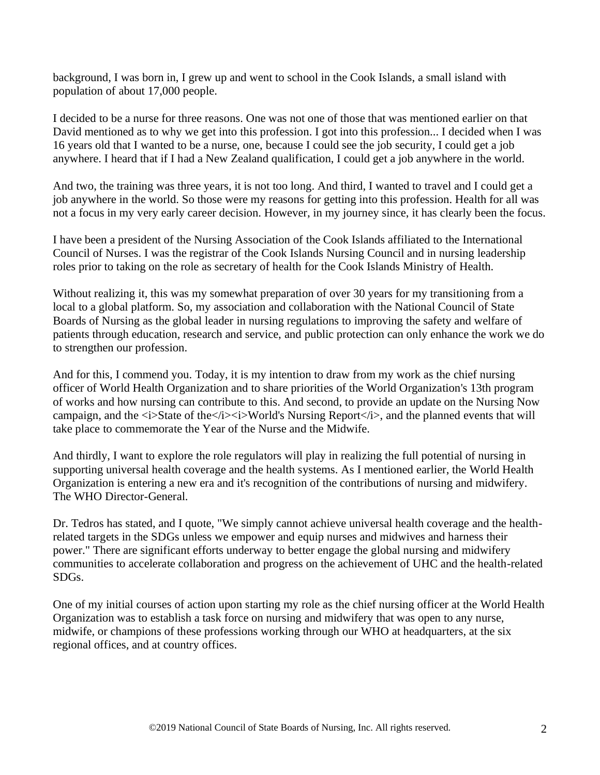background, I was born in, I grew up and went to school in the Cook Islands, a small island with population of about 17,000 people.

I decided to be a nurse for three reasons. One was not one of those that was mentioned earlier on that David mentioned as to why we get into this profession. I got into this profession... I decided when I was 16 years old that I wanted to be a nurse, one, because I could see the job security, I could get a job anywhere. I heard that if I had a New Zealand qualification, I could get a job anywhere in the world.

And two, the training was three years, it is not too long. And third, I wanted to travel and I could get a job anywhere in the world. So those were my reasons for getting into this profession. Health for all was not a focus in my very early career decision. However, in my journey since, it has clearly been the focus.

I have been a president of the Nursing Association of the Cook Islands affiliated to the International Council of Nurses. I was the registrar of the Cook Islands Nursing Council and in nursing leadership roles prior to taking on the role as secretary of health for the Cook Islands Ministry of Health.

Without realizing it, this was my somewhat preparation of over 30 years for my transitioning from a local to a global platform. So, my association and collaboration with the National Council of State Boards of Nursing as the global leader in nursing regulations to improving the safety and welfare of patients through education, research and service, and public protection can only enhance the work we do to strengthen our profession.

And for this, I commend you. Today, it is my intention to draw from my work as the chief nursing officer of World Health Organization and to share priorities of the World Organization's 13th program of works and how nursing can contribute to this. And second, to provide an update on the Nursing Now campaign, and the *si*>State of the*s*/i>si>World's Nursing Reports/i>, and the planned events that will take place to commemorate the Year of the Nurse and the Midwife.

And thirdly, I want to explore the role regulators will play in realizing the full potential of nursing in supporting universal health coverage and the health systems. As I mentioned earlier, the World Health Organization is entering a new era and it's recognition of the contributions of nursing and midwifery. The WHO Director-General.

Dr. Tedros has stated, and I quote, "We simply cannot achieve universal health coverage and the healthrelated targets in the SDGs unless we empower and equip nurses and midwives and harness their power." There are significant efforts underway to better engage the global nursing and midwifery communities to accelerate collaboration and progress on the achievement of UHC and the health-related SDGs.

One of my initial courses of action upon starting my role as the chief nursing officer at the World Health Organization was to establish a task force on nursing and midwifery that was open to any nurse, midwife, or champions of these professions working through our WHO at headquarters, at the six regional offices, and at country offices.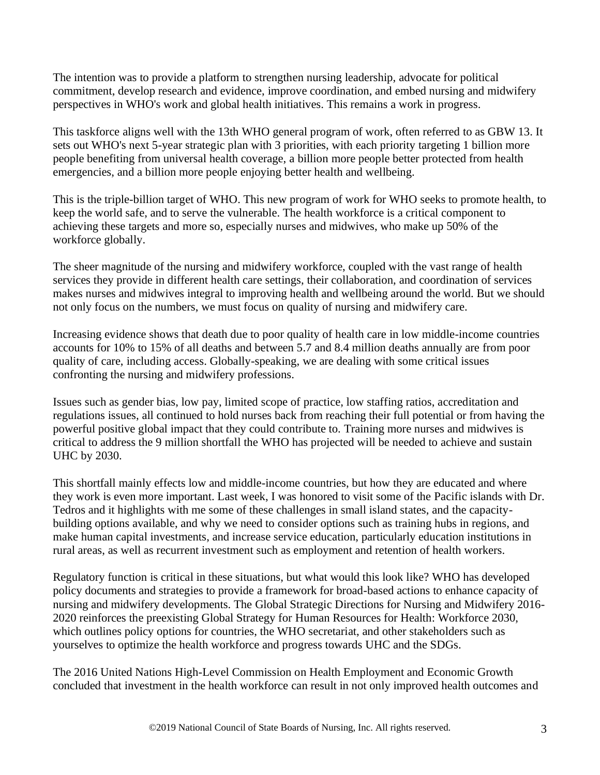The intention was to provide a platform to strengthen nursing leadership, advocate for political commitment, develop research and evidence, improve coordination, and embed nursing and midwifery perspectives in WHO's work and global health initiatives. This remains a work in progress.

This taskforce aligns well with the 13th WHO general program of work, often referred to as GBW 13. It sets out WHO's next 5-year strategic plan with 3 priorities, with each priority targeting 1 billion more people benefiting from universal health coverage, a billion more people better protected from health emergencies, and a billion more people enjoying better health and wellbeing.

This is the triple-billion target of WHO. This new program of work for WHO seeks to promote health, to keep the world safe, and to serve the vulnerable. The health workforce is a critical component to achieving these targets and more so, especially nurses and midwives, who make up 50% of the workforce globally.

The sheer magnitude of the nursing and midwifery workforce, coupled with the vast range of health services they provide in different health care settings, their collaboration, and coordination of services makes nurses and midwives integral to improving health and wellbeing around the world. But we should not only focus on the numbers, we must focus on quality of nursing and midwifery care.

Increasing evidence shows that death due to poor quality of health care in low middle-income countries accounts for 10% to 15% of all deaths and between 5.7 and 8.4 million deaths annually are from poor quality of care, including access. Globally-speaking, we are dealing with some critical issues confronting the nursing and midwifery professions.

Issues such as gender bias, low pay, limited scope of practice, low staffing ratios, accreditation and regulations issues, all continued to hold nurses back from reaching their full potential or from having the powerful positive global impact that they could contribute to. Training more nurses and midwives is critical to address the 9 million shortfall the WHO has projected will be needed to achieve and sustain UHC by 2030.

This shortfall mainly effects low and middle-income countries, but how they are educated and where they work is even more important. Last week, I was honored to visit some of the Pacific islands with Dr. Tedros and it highlights with me some of these challenges in small island states, and the capacitybuilding options available, and why we need to consider options such as training hubs in regions, and make human capital investments, and increase service education, particularly education institutions in rural areas, as well as recurrent investment such as employment and retention of health workers.

Regulatory function is critical in these situations, but what would this look like? WHO has developed policy documents and strategies to provide a framework for broad-based actions to enhance capacity of nursing and midwifery developments. The Global Strategic Directions for Nursing and Midwifery 2016- 2020 reinforces the preexisting Global Strategy for Human Resources for Health: Workforce 2030, which outlines policy options for countries, the WHO secretariat, and other stakeholders such as yourselves to optimize the health workforce and progress towards UHC and the SDGs.

The 2016 United Nations High-Level Commission on Health Employment and Economic Growth concluded that investment in the health workforce can result in not only improved health outcomes and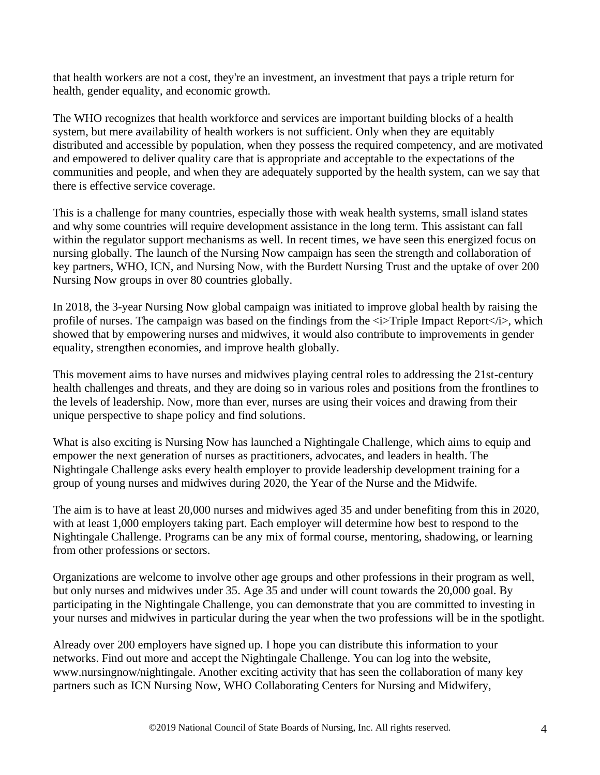that health workers are not a cost, they're an investment, an investment that pays a triple return for health, gender equality, and economic growth.

The WHO recognizes that health workforce and services are important building blocks of a health system, but mere availability of health workers is not sufficient. Only when they are equitably distributed and accessible by population, when they possess the required competency, and are motivated and empowered to deliver quality care that is appropriate and acceptable to the expectations of the communities and people, and when they are adequately supported by the health system, can we say that there is effective service coverage.

This is a challenge for many countries, especially those with weak health systems, small island states and why some countries will require development assistance in the long term. This assistant can fall within the regulator support mechanisms as well. In recent times, we have seen this energized focus on nursing globally. The launch of the Nursing Now campaign has seen the strength and collaboration of key partners, WHO, ICN, and Nursing Now, with the Burdett Nursing Trust and the uptake of over 200 Nursing Now groups in over 80 countries globally.

In 2018, the 3-year Nursing Now global campaign was initiated to improve global health by raising the profile of nurses. The campaign was based on the findings from the  $\langle i \rangle$ Triple Impact Report $\langle i \rangle$ , which showed that by empowering nurses and midwives, it would also contribute to improvements in gender equality, strengthen economies, and improve health globally.

This movement aims to have nurses and midwives playing central roles to addressing the 21st-century health challenges and threats, and they are doing so in various roles and positions from the frontlines to the levels of leadership. Now, more than ever, nurses are using their voices and drawing from their unique perspective to shape policy and find solutions.

What is also exciting is Nursing Now has launched a Nightingale Challenge, which aims to equip and empower the next generation of nurses as practitioners, advocates, and leaders in health. The Nightingale Challenge asks every health employer to provide leadership development training for a group of young nurses and midwives during 2020, the Year of the Nurse and the Midwife.

The aim is to have at least 20,000 nurses and midwives aged 35 and under benefiting from this in 2020, with at least 1,000 employers taking part. Each employer will determine how best to respond to the Nightingale Challenge. Programs can be any mix of formal course, mentoring, shadowing, or learning from other professions or sectors.

Organizations are welcome to involve other age groups and other professions in their program as well, but only nurses and midwives under 35. Age 35 and under will count towards the 20,000 goal. By participating in the Nightingale Challenge, you can demonstrate that you are committed to investing in your nurses and midwives in particular during the year when the two professions will be in the spotlight.

Already over 200 employers have signed up. I hope you can distribute this information to your networks. Find out more and accept the Nightingale Challenge. You can log into the website, www.nursingnow/nightingale. Another exciting activity that has seen the collaboration of many key partners such as ICN Nursing Now, WHO Collaborating Centers for Nursing and Midwifery,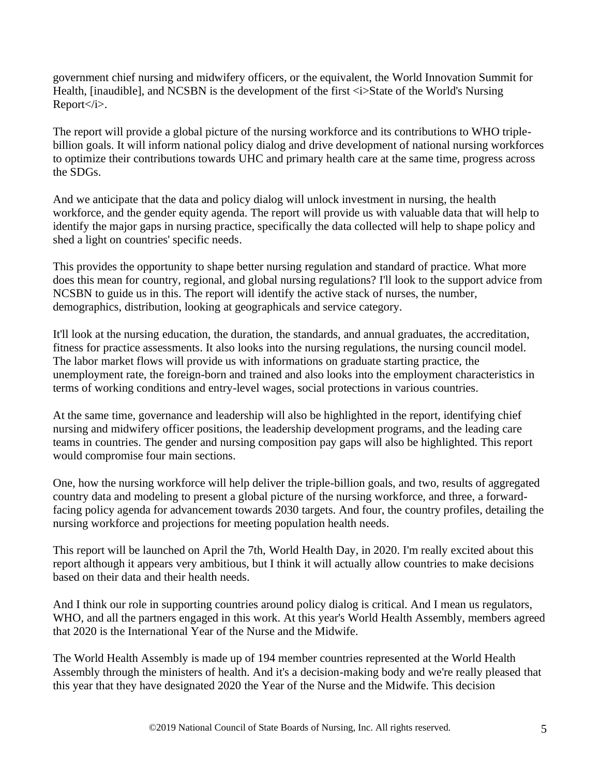government chief nursing and midwifery officers, or the equivalent, the World Innovation Summit for Health, [inaudible], and NCSBN is the development of the first  $\langle i \rangle$ State of the World's Nursing Report</i>.

The report will provide a global picture of the nursing workforce and its contributions to WHO triplebillion goals. It will inform national policy dialog and drive development of national nursing workforces to optimize their contributions towards UHC and primary health care at the same time, progress across the SDGs.

And we anticipate that the data and policy dialog will unlock investment in nursing, the health workforce, and the gender equity agenda. The report will provide us with valuable data that will help to identify the major gaps in nursing practice, specifically the data collected will help to shape policy and shed a light on countries' specific needs.

This provides the opportunity to shape better nursing regulation and standard of practice. What more does this mean for country, regional, and global nursing regulations? I'll look to the support advice from NCSBN to guide us in this. The report will identify the active stack of nurses, the number, demographics, distribution, looking at geographicals and service category.

It'll look at the nursing education, the duration, the standards, and annual graduates, the accreditation, fitness for practice assessments. It also looks into the nursing regulations, the nursing council model. The labor market flows will provide us with informations on graduate starting practice, the unemployment rate, the foreign-born and trained and also looks into the employment characteristics in terms of working conditions and entry-level wages, social protections in various countries.

At the same time, governance and leadership will also be highlighted in the report, identifying chief nursing and midwifery officer positions, the leadership development programs, and the leading care teams in countries. The gender and nursing composition pay gaps will also be highlighted. This report would compromise four main sections.

One, how the nursing workforce will help deliver the triple-billion goals, and two, results of aggregated country data and modeling to present a global picture of the nursing workforce, and three, a forwardfacing policy agenda for advancement towards 2030 targets. And four, the country profiles, detailing the nursing workforce and projections for meeting population health needs.

This report will be launched on April the 7th, World Health Day, in 2020. I'm really excited about this report although it appears very ambitious, but I think it will actually allow countries to make decisions based on their data and their health needs.

And I think our role in supporting countries around policy dialog is critical. And I mean us regulators, WHO, and all the partners engaged in this work. At this year's World Health Assembly, members agreed that 2020 is the International Year of the Nurse and the Midwife.

The World Health Assembly is made up of 194 member countries represented at the World Health Assembly through the ministers of health. And it's a decision-making body and we're really pleased that this year that they have designated 2020 the Year of the Nurse and the Midwife. This decision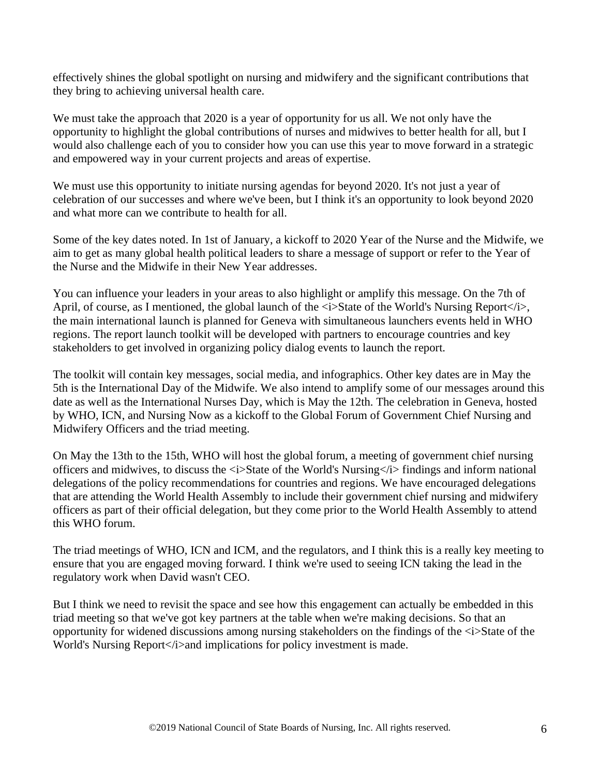effectively shines the global spotlight on nursing and midwifery and the significant contributions that they bring to achieving universal health care.

We must take the approach that 2020 is a year of opportunity for us all. We not only have the opportunity to highlight the global contributions of nurses and midwives to better health for all, but I would also challenge each of you to consider how you can use this year to move forward in a strategic and empowered way in your current projects and areas of expertise.

We must use this opportunity to initiate nursing agendas for beyond 2020. It's not just a year of celebration of our successes and where we've been, but I think it's an opportunity to look beyond 2020 and what more can we contribute to health for all.

Some of the key dates noted. In 1st of January, a kickoff to 2020 Year of the Nurse and the Midwife, we aim to get as many global health political leaders to share a message of support or refer to the Year of the Nurse and the Midwife in their New Year addresses.

You can influence your leaders in your areas to also highlight or amplify this message. On the 7th of April, of course, as I mentioned, the global launch of the  $\langle i \rangle$ State of the World's Nursing Report $\langle i \rangle$ , the main international launch is planned for Geneva with simultaneous launchers events held in WHO regions. The report launch toolkit will be developed with partners to encourage countries and key stakeholders to get involved in organizing policy dialog events to launch the report.

The toolkit will contain key messages, social media, and infographics. Other key dates are in May the 5th is the International Day of the Midwife. We also intend to amplify some of our messages around this date as well as the International Nurses Day, which is May the 12th. The celebration in Geneva, hosted by WHO, ICN, and Nursing Now as a kickoff to the Global Forum of Government Chief Nursing and Midwifery Officers and the triad meeting.

On May the 13th to the 15th, WHO will host the global forum, a meeting of government chief nursing officers and midwives, to discuss the  $\langle i \rangle$ State of the World's Nursing  $\langle i \rangle$  findings and inform national delegations of the policy recommendations for countries and regions. We have encouraged delegations that are attending the World Health Assembly to include their government chief nursing and midwifery officers as part of their official delegation, but they come prior to the World Health Assembly to attend this WHO forum.

The triad meetings of WHO, ICN and ICM, and the regulators, and I think this is a really key meeting to ensure that you are engaged moving forward. I think we're used to seeing ICN taking the lead in the regulatory work when David wasn't CEO.

But I think we need to revisit the space and see how this engagement can actually be embedded in this triad meeting so that we've got key partners at the table when we're making decisions. So that an opportunity for widened discussions among nursing stakeholders on the findings of the <i>State of the World's Nursing Report</i>and implications for policy investment is made.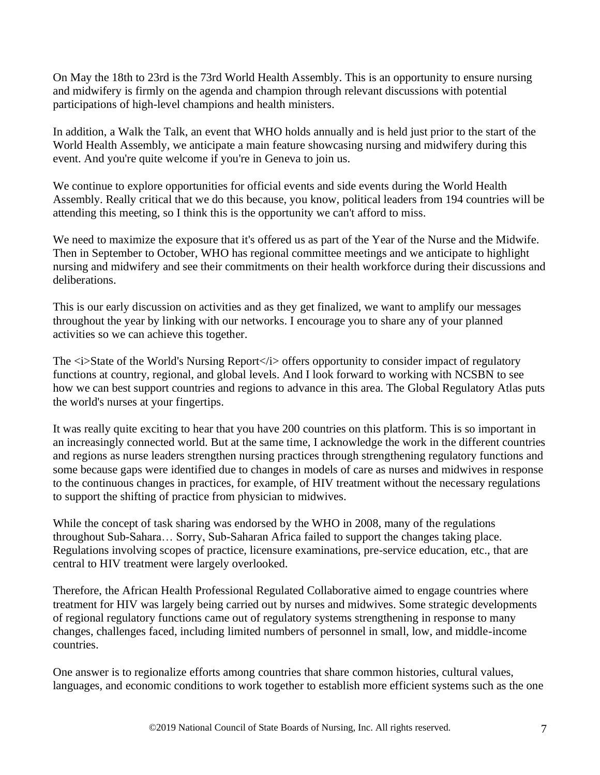On May the 18th to 23rd is the 73rd World Health Assembly. This is an opportunity to ensure nursing and midwifery is firmly on the agenda and champion through relevant discussions with potential participations of high-level champions and health ministers.

In addition, a Walk the Talk, an event that WHO holds annually and is held just prior to the start of the World Health Assembly, we anticipate a main feature showcasing nursing and midwifery during this event. And you're quite welcome if you're in Geneva to join us.

We continue to explore opportunities for official events and side events during the World Health Assembly. Really critical that we do this because, you know, political leaders from 194 countries will be attending this meeting, so I think this is the opportunity we can't afford to miss.

We need to maximize the exposure that it's offered us as part of the Year of the Nurse and the Midwife. Then in September to October, WHO has regional committee meetings and we anticipate to highlight nursing and midwifery and see their commitments on their health workforce during their discussions and deliberations.

This is our early discussion on activities and as they get finalized, we want to amplify our messages throughout the year by linking with our networks. I encourage you to share any of your planned activities so we can achieve this together.

The  $\langle i \rangle$ State of the World's Nursing Report $\langle i \rangle$  offers opportunity to consider impact of regulatory functions at country, regional, and global levels. And I look forward to working with NCSBN to see how we can best support countries and regions to advance in this area. The Global Regulatory Atlas puts the world's nurses at your fingertips.

It was really quite exciting to hear that you have 200 countries on this platform. This is so important in an increasingly connected world. But at the same time, I acknowledge the work in the different countries and regions as nurse leaders strengthen nursing practices through strengthening regulatory functions and some because gaps were identified due to changes in models of care as nurses and midwives in response to the continuous changes in practices, for example, of HIV treatment without the necessary regulations to support the shifting of practice from physician to midwives.

While the concept of task sharing was endorsed by the WHO in 2008, many of the regulations throughout Sub-Sahara… Sorry, Sub-Saharan Africa failed to support the changes taking place. Regulations involving scopes of practice, licensure examinations, pre-service education, etc., that are central to HIV treatment were largely overlooked.

Therefore, the African Health Professional Regulated Collaborative aimed to engage countries where treatment for HIV was largely being carried out by nurses and midwives. Some strategic developments of regional regulatory functions came out of regulatory systems strengthening in response to many changes, challenges faced, including limited numbers of personnel in small, low, and middle-income countries.

One answer is to regionalize efforts among countries that share common histories, cultural values, languages, and economic conditions to work together to establish more efficient systems such as the one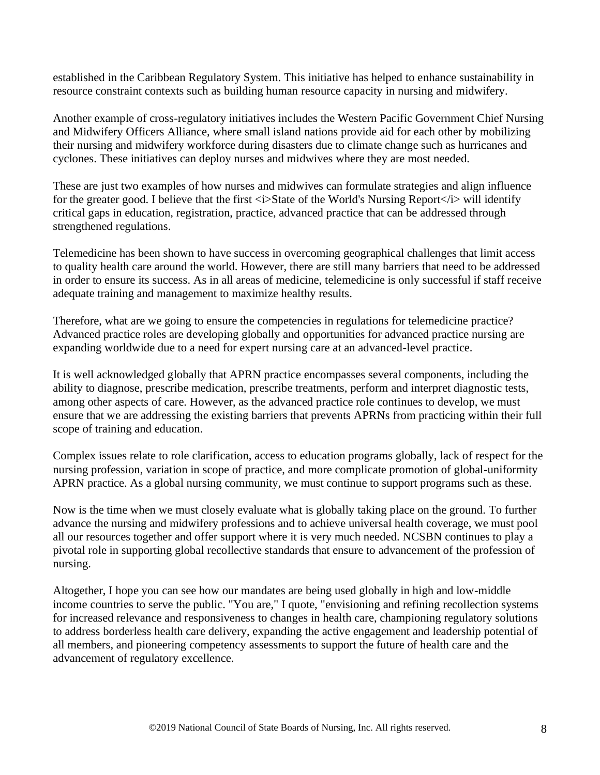established in the Caribbean Regulatory System. This initiative has helped to enhance sustainability in resource constraint contexts such as building human resource capacity in nursing and midwifery.

Another example of cross-regulatory initiatives includes the Western Pacific Government Chief Nursing and Midwifery Officers Alliance, where small island nations provide aid for each other by mobilizing their nursing and midwifery workforce during disasters due to climate change such as hurricanes and cyclones. These initiatives can deploy nurses and midwives where they are most needed.

These are just two examples of how nurses and midwives can formulate strategies and align influence for the greater good. I believe that the first  $\langle i \rangle$ State of the World's Nursing Report $\langle i \rangle$  will identify critical gaps in education, registration, practice, advanced practice that can be addressed through strengthened regulations.

Telemedicine has been shown to have success in overcoming geographical challenges that limit access to quality health care around the world. However, there are still many barriers that need to be addressed in order to ensure its success. As in all areas of medicine, telemedicine is only successful if staff receive adequate training and management to maximize healthy results.

Therefore, what are we going to ensure the competencies in regulations for telemedicine practice? Advanced practice roles are developing globally and opportunities for advanced practice nursing are expanding worldwide due to a need for expert nursing care at an advanced-level practice.

It is well acknowledged globally that APRN practice encompasses several components, including the ability to diagnose, prescribe medication, prescribe treatments, perform and interpret diagnostic tests, among other aspects of care. However, as the advanced practice role continues to develop, we must ensure that we are addressing the existing barriers that prevents APRNs from practicing within their full scope of training and education.

Complex issues relate to role clarification, access to education programs globally, lack of respect for the nursing profession, variation in scope of practice, and more complicate promotion of global-uniformity APRN practice. As a global nursing community, we must continue to support programs such as these.

Now is the time when we must closely evaluate what is globally taking place on the ground. To further advance the nursing and midwifery professions and to achieve universal health coverage, we must pool all our resources together and offer support where it is very much needed. NCSBN continues to play a pivotal role in supporting global recollective standards that ensure to advancement of the profession of nursing.

Altogether, I hope you can see how our mandates are being used globally in high and low-middle income countries to serve the public. "You are," I quote, "envisioning and refining recollection systems for increased relevance and responsiveness to changes in health care, championing regulatory solutions to address borderless health care delivery, expanding the active engagement and leadership potential of all members, and pioneering competency assessments to support the future of health care and the advancement of regulatory excellence.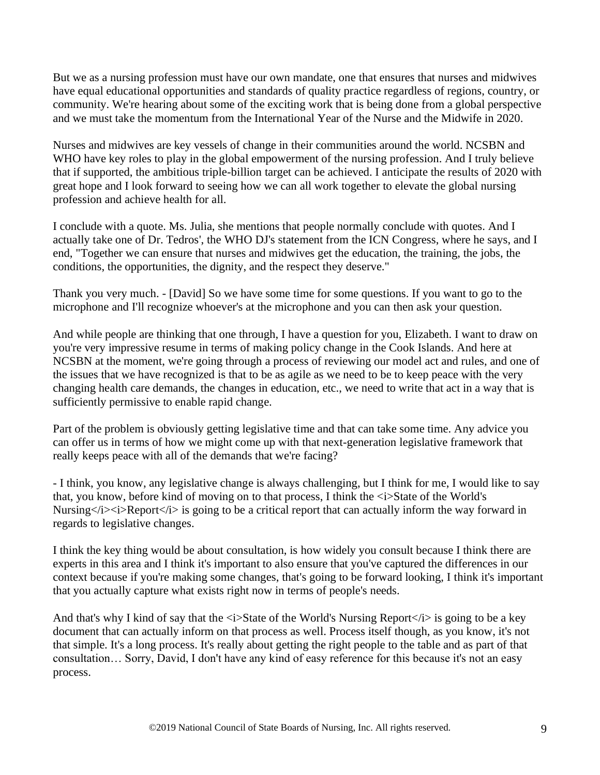But we as a nursing profession must have our own mandate, one that ensures that nurses and midwives have equal educational opportunities and standards of quality practice regardless of regions, country, or community. We're hearing about some of the exciting work that is being done from a global perspective and we must take the momentum from the International Year of the Nurse and the Midwife in 2020.

Nurses and midwives are key vessels of change in their communities around the world. NCSBN and WHO have key roles to play in the global empowerment of the nursing profession. And I truly believe that if supported, the ambitious triple-billion target can be achieved. I anticipate the results of 2020 with great hope and I look forward to seeing how we can all work together to elevate the global nursing profession and achieve health for all.

I conclude with a quote. Ms. Julia, she mentions that people normally conclude with quotes. And I actually take one of Dr. Tedros', the WHO DJ's statement from the ICN Congress, where he says, and I end, "Together we can ensure that nurses and midwives get the education, the training, the jobs, the conditions, the opportunities, the dignity, and the respect they deserve."

Thank you very much. - [David] So we have some time for some questions. If you want to go to the microphone and I'll recognize whoever's at the microphone and you can then ask your question.

And while people are thinking that one through, I have a question for you, Elizabeth. I want to draw on you're very impressive resume in terms of making policy change in the Cook Islands. And here at NCSBN at the moment, we're going through a process of reviewing our model act and rules, and one of the issues that we have recognized is that to be as agile as we need to be to keep peace with the very changing health care demands, the changes in education, etc., we need to write that act in a way that is sufficiently permissive to enable rapid change.

Part of the problem is obviously getting legislative time and that can take some time. Any advice you can offer us in terms of how we might come up with that next-generation legislative framework that really keeps peace with all of the demands that we're facing?

- I think, you know, any legislative change is always challenging, but I think for me, I would like to say that, you know, before kind of moving on to that process, I think the  $\langle i \rangle$ State of the World's Nursing $\langle i \rangle \langle i \rangle$  Report $\langle i \rangle$  is going to be a critical report that can actually inform the way forward in regards to legislative changes.

I think the key thing would be about consultation, is how widely you consult because I think there are experts in this area and I think it's important to also ensure that you've captured the differences in our context because if you're making some changes, that's going to be forward looking, I think it's important that you actually capture what exists right now in terms of people's needs.

And that's why I kind of say that the  $\langle i \rangle$ State of the World's Nursing Report $\langle i \rangle$  is going to be a key document that can actually inform on that process as well. Process itself though, as you know, it's not that simple. It's a long process. It's really about getting the right people to the table and as part of that consultation… Sorry, David, I don't have any kind of easy reference for this because it's not an easy process.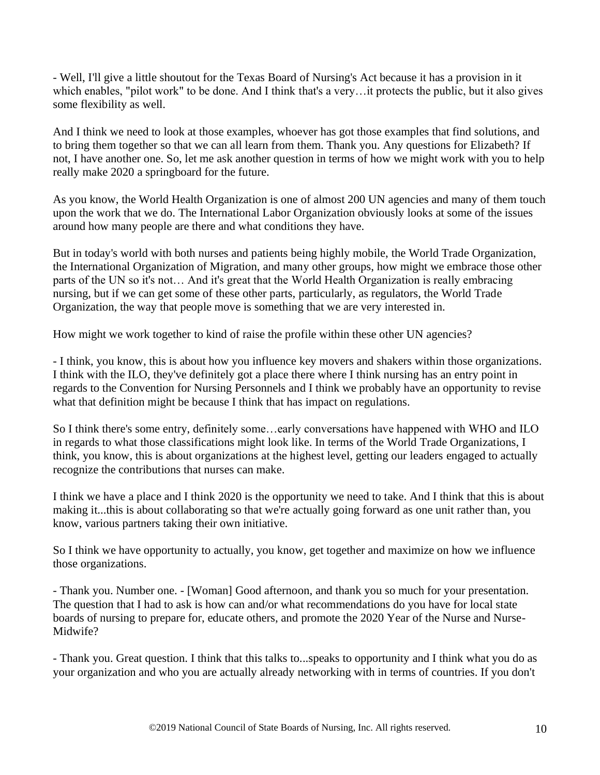- Well, I'll give a little shoutout for the Texas Board of Nursing's Act because it has a provision in it which enables, "pilot work" to be done. And I think that's a very…it protects the public, but it also gives some flexibility as well.

And I think we need to look at those examples, whoever has got those examples that find solutions, and to bring them together so that we can all learn from them. Thank you. Any questions for Elizabeth? If not, I have another one. So, let me ask another question in terms of how we might work with you to help really make 2020 a springboard for the future.

As you know, the World Health Organization is one of almost 200 UN agencies and many of them touch upon the work that we do. The International Labor Organization obviously looks at some of the issues around how many people are there and what conditions they have.

But in today's world with both nurses and patients being highly mobile, the World Trade Organization, the International Organization of Migration, and many other groups, how might we embrace those other parts of the UN so it's not… And it's great that the World Health Organization is really embracing nursing, but if we can get some of these other parts, particularly, as regulators, the World Trade Organization, the way that people move is something that we are very interested in.

How might we work together to kind of raise the profile within these other UN agencies?

- I think, you know, this is about how you influence key movers and shakers within those organizations. I think with the ILO, they've definitely got a place there where I think nursing has an entry point in regards to the Convention for Nursing Personnels and I think we probably have an opportunity to revise what that definition might be because I think that has impact on regulations.

So I think there's some entry, definitely some…early conversations have happened with WHO and ILO in regards to what those classifications might look like. In terms of the World Trade Organizations, I think, you know, this is about organizations at the highest level, getting our leaders engaged to actually recognize the contributions that nurses can make.

I think we have a place and I think 2020 is the opportunity we need to take. And I think that this is about making it...this is about collaborating so that we're actually going forward as one unit rather than, you know, various partners taking their own initiative.

So I think we have opportunity to actually, you know, get together and maximize on how we influence those organizations.

- Thank you. Number one. - [Woman] Good afternoon, and thank you so much for your presentation. The question that I had to ask is how can and/or what recommendations do you have for local state boards of nursing to prepare for, educate others, and promote the 2020 Year of the Nurse and Nurse-Midwife?

- Thank you. Great question. I think that this talks to...speaks to opportunity and I think what you do as your organization and who you are actually already networking with in terms of countries. If you don't